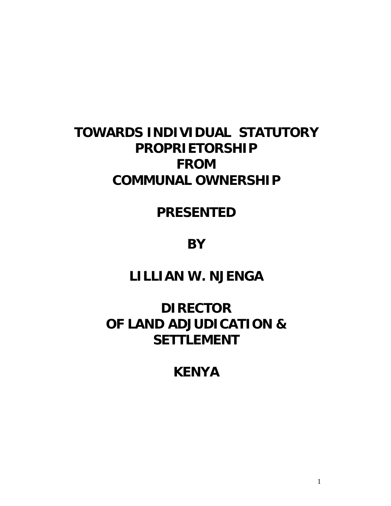# **TOWARDS INDIVIDUAL STATUTORY PROPRIETORSHIP FROM COMMUNAL OWNERSHIP**

## **PRESENTED**

**BY** 

# **LILLIAN W. NJENGA**

# **DIRECTOR OF LAND ADJUDICATION & SETTLEMENT**

## **KENYA**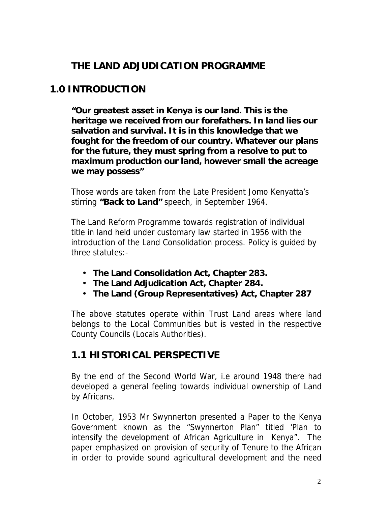## **THE LAND ADJUDICATION PROGRAMME**

## **1.0 INTRODUCTION**

**"Our greatest asset in Kenya is our land. This is the heritage we received from our forefathers. In land lies our salvation and survival. It is in this knowledge that we fought for the freedom of our country. Whatever our plans for the future, they must spring from a resolve to put to maximum production our land, however small the acreage we may possess"** 

Those words are taken from the Late President Jomo Kenyatta's stirring **"Back to Land"** speech, in September 1964.

The Land Reform Programme towards registration of individual title in land held under customary law started in 1956 with the introduction of the Land Consolidation process. Policy is guided by three statutes:-

- **The Land Consolidation Act, Chapter 283.**
- **The Land Adjudication Act, Chapter 284.**
- **The Land (Group Representatives) Act, Chapter 287**

The above statutes operate within Trust Land areas where land belongs to the Local Communities but is vested in the respective County Councils (Locals Authorities).

## **1.1 HISTORICAL PERSPECTIVE**

By the end of the Second World War, i.e around 1948 there had developed a general feeling towards individual ownership of Land by Africans.

In October, 1953 Mr Swynnerton presented a Paper to the Kenya Government known as the "Swynnerton Plan" titled 'Plan to intensify the development of African Agriculture in Kenya". The paper emphasized on provision of security of Tenure to the African in order to provide sound agricultural development and the need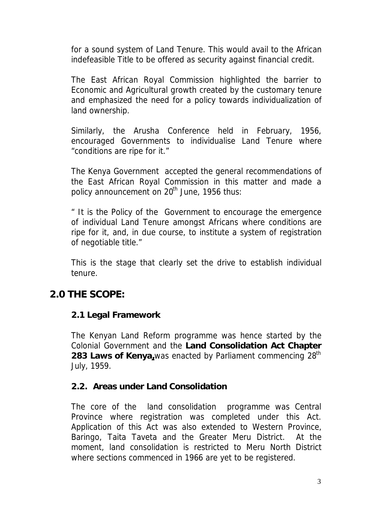for a sound system of Land Tenure. This would avail to the African indefeasible Title to be offered as security against financial credit.

The East African Royal Commission highlighted the barrier to Economic and Agricultural growth created by the customary tenure and emphasized the need for a policy towards individualization of land ownership.

Similarly, the Arusha Conference held in February, 1956, encouraged Governments to individualise Land Tenure where "conditions are ripe for it."

The Kenya Government accepted the general recommendations of the East African Royal Commission in this matter and made a policy announcement on 20<sup>th</sup> June, 1956 thus:

" It is the Policy of the Government to encourage the emergence of individual Land Tenure amongst Africans where conditions are ripe for it, and, in due course, to institute a system of registration of negotiable title."

This is the stage that clearly set the drive to establish individual tenure.

## **2.0 THE SCOPE:**

#### **2.1 Legal Framework**

The Kenyan Land Reform programme was hence started by the Colonial Government and the **Land Consolidation Act Chapter 283 Laws of Kenya,**was enacted by Parliament commencing 28th July, 1959.

#### **2.2. Areas under Land Consolidation**

The core of the land consolidation programme was Central Province where registration was completed under this Act. Application of this Act was also extended to Western Province, Baringo, Taita Taveta and the Greater Meru District. At the moment, land consolidation is restricted to Meru North District where sections commenced in 1966 are yet to be registered.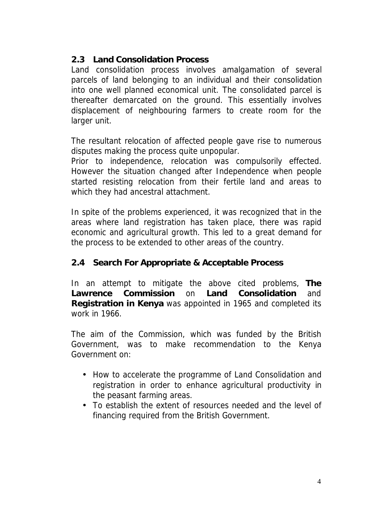#### **2.3 Land Consolidation Process**

Land consolidation process involves amalgamation of several parcels of land belonging to an individual and their consolidation into one well planned economical unit. The consolidated parcel is thereafter demarcated on the ground. This essentially involves displacement of neighbouring farmers to create room for the larger unit.

The resultant relocation of affected people gave rise to numerous disputes making the process quite unpopular.

Prior to independence, relocation was compulsorily effected. However the situation changed after Independence when people started resisting relocation from their fertile land and areas to which they had ancestral attachment.

In spite of the problems experienced, it was recognized that in the areas where land registration has taken place, there was rapid economic and agricultural growth. This led to a great demand for the process to be extended to other areas of the country.

#### **2.4 Search For Appropriate & Acceptable Process**

In an attempt to mitigate the above cited problems, **The Lawrence Commission** on **Land Consolidation** and **Registration in Kenya** was appointed in 1965 and completed its work in 1966.

The aim of the Commission, which was funded by the British Government, was to make recommendation to the Kenya Government on:

- How to accelerate the programme of Land Consolidation and registration in order to enhance agricultural productivity in the peasant farming areas.
- To establish the extent of resources needed and the level of financing required from the British Government.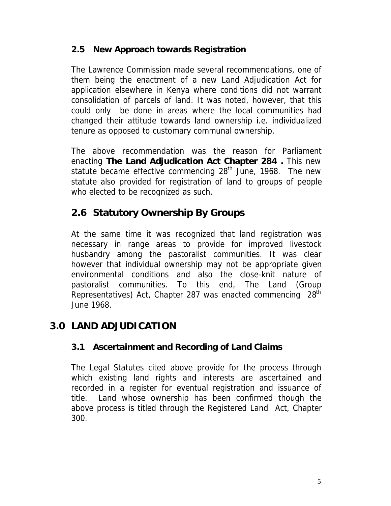#### **2.5 New Approach towards Registration**

The Lawrence Commission made several recommendations, one of them being the enactment of a new Land Adjudication Act for application elsewhere in Kenya where conditions did not warrant consolidation of parcels of land. It was noted, however, that this could only be done in areas where the local communities had changed their attitude towards land ownership i.e. individualized tenure as opposed to customary communal ownership.

The above recommendation was the reason for Parliament enacting **The Land Adjudication Act Chapter 284 .** This new statute became effective commencing  $28<sup>th</sup>$  June, 1968. The new statute also provided for registration of land to groups of people who elected to be recognized as such.

## **2.6 Statutory Ownership By Groups**

At the same time it was recognized that land registration was necessary in range areas to provide for improved livestock husbandry among the pastoralist communities. It was clear however that individual ownership may not be appropriate given environmental conditions and also the close-knit nature of pastoralist communities. To this end, The Land (Group Representatives) Act, Chapter 287 was enacted commencing 28<sup>th</sup> June 1968.

## **3.0 LAND ADJUDICATION**

#### **3.1 Ascertainment and Recording of Land Claims**

The Legal Statutes cited above provide for the process through which existing land rights and interests are ascertained and recorded in a register for eventual registration and issuance of title. Land whose ownership has been confirmed though the above process is titled through the Registered Land Act, Chapter 300.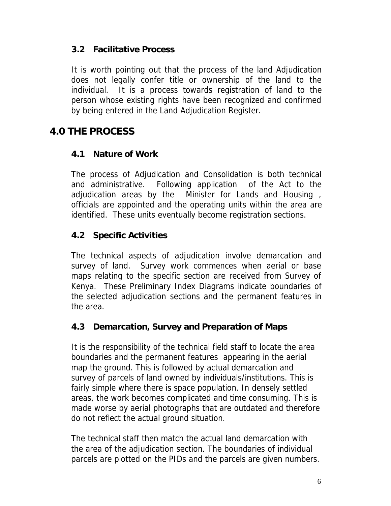#### **3.2 Facilitative Process**

It is worth pointing out that the process of the land Adjudication does not legally confer title or ownership of the land to the individual. It is a process towards registration of land to the person whose existing rights have been recognized and confirmed by being entered in the Land Adjudication Register.

## **4.0 THE PROCESS**

#### **4.1 Nature of Work**

The process of Adjudication and Consolidation is both technical and administrative. Following application of the Act to the adjudication areas by the Minister for Lands and Housing , officials are appointed and the operating units within the area are identified. These units eventually become registration sections.

#### **4.2 Specific Activities**

The technical aspects of adjudication involve demarcation and survey of land. Survey work commences when aerial or base maps relating to the specific section are received from Survey of Kenya. These Preliminary Index Diagrams indicate boundaries of the selected adjudication sections and the permanent features in the area.

#### **4.3 Demarcation, Survey and Preparation of Maps**

It is the responsibility of the technical field staff to locate the area boundaries and the permanent features appearing in the aerial map the ground. This is followed by actual demarcation and survey of parcels of land owned by individuals/institutions. This is fairly simple where there is space population. In densely settled areas, the work becomes complicated and time consuming. This is made worse by aerial photographs that are outdated and therefore do not reflect the actual ground situation.

The technical staff then match the actual land demarcation with the area of the adjudication section. The boundaries of individual parcels are plotted on the PIDs and the parcels are given numbers.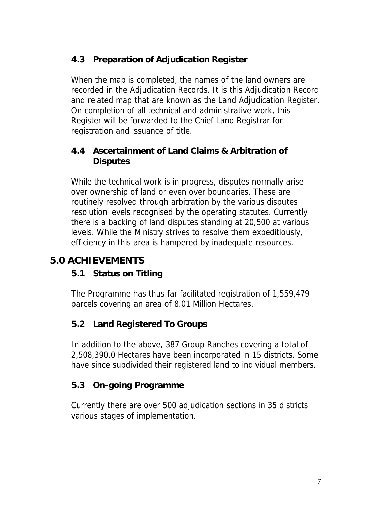## **4.3 Preparation of Adjudication Register**

When the map is completed, the names of the land owners are recorded in the Adjudication Records. It is this Adjudication Record and related map that are known as the Land Adjudication Register. On completion of all technical and administrative work, this Register will be forwarded to the Chief Land Registrar for registration and issuance of title.

#### **4.4 Ascertainment of Land Claims & Arbitration of Disputes**

While the technical work is in progress, disputes normally arise over ownership of land or even over boundaries. These are routinely resolved through arbitration by the various disputes resolution levels recognised by the operating statutes. Currently there is a backing of land disputes standing at 20,500 at various levels. While the Ministry strives to resolve them expeditiously, efficiency in this area is hampered by inadequate resources.

## **5.0 ACHIEVEMENTS**

## **5.1 Status on Titling**

The Programme has thus far facilitated registration of 1,559,479 parcels covering an area of 8.01 Million Hectares.

## **5.2 Land Registered To Groups**

In addition to the above, 387 Group Ranches covering a total of 2,508,390.0 Hectares have been incorporated in 15 districts. Some have since subdivided their registered land to individual members.

## **5.3 On-going Programme**

Currently there are over 500 adjudication sections in 35 districts various stages of implementation.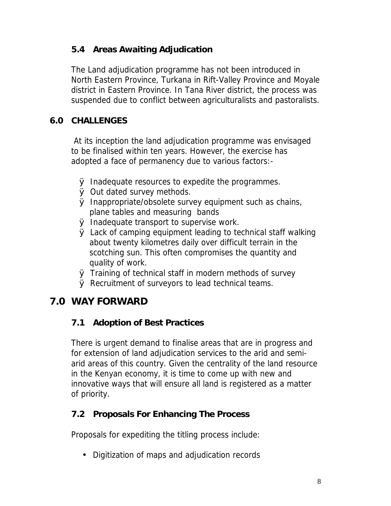#### **5.4 Areas Awaiting Adjudication**

The Land adjudication programme has not been introduced in North Eastern Province, Turkana in Rift-Valley Province and Moyale district in Eastern Province. In Tana River district, the process was suspended due to conflict between agriculturalists and pastoralists.

#### **6.0 CHALLENGES**

 At its inception the land adjudication programme was envisaged to be finalised within ten years. However, the exercise has adopted a face of permanency due to various factors:-

- Ø Inadequate resources to expedite the programmes.
- Ø Out dated survey methods.
- Ø Inappropriate/obsolete survey equipment such as chains, plane tables and measuring bands
- Ø Inadequate transport to supervise work.
- Ø Lack of camping equipment leading to technical staff walking about twenty kilometres daily over difficult terrain in the scotching sun. This often compromises the quantity and quality of work.
- Ø Training of technical staff in modern methods of survey
- Ø Recruitment of surveyors to lead technical teams.

## **7.0 WAY FORWARD**

## **7.1 Adoption of Best Practices**

There is urgent demand to finalise areas that are in progress and for extension of land adjudication services to the arid and semiarid areas of this country. Given the centrality of the land resource in the Kenyan economy, it is time to come up with new and innovative ways that will ensure all land is registered as a matter of priority.

#### **7.2 Proposals For Enhancing The Process**

Proposals for expediting the titling process include:

• Digitization of maps and adjudication records